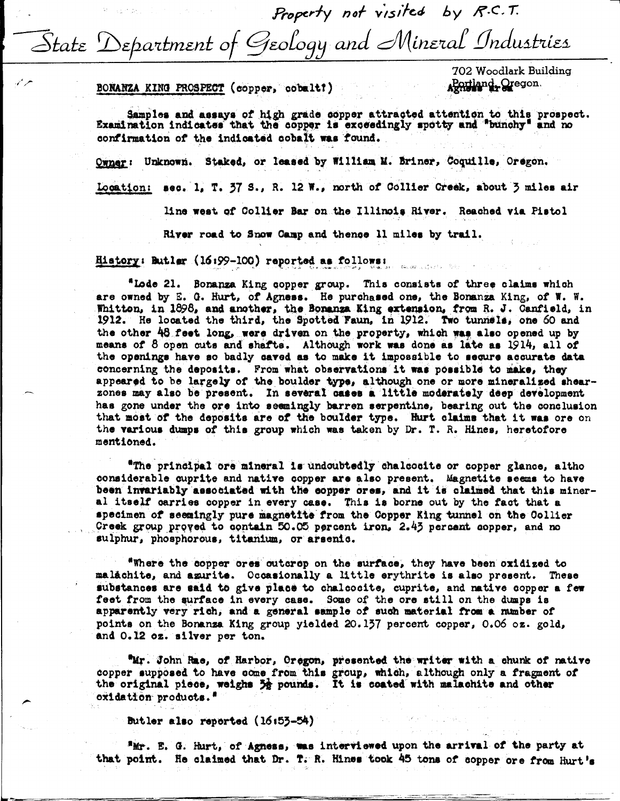Property not visited by R.C.T. State Department of Geology and Mineral Industries

BONANZA KING PROSPECT (copper, cobalt)

702 Woodlark Building Rortland, Oregon

Samples and assays of high grade copper attracted attention to this prospect. Examination indicates that the copper is exceedingly spotty and "bunchy" and no confirmation of the indicated cobalt was found.

Owner: Unknown. Staked, or leased by William M. Briner, Coquille, Oregon.

Location: sec. 1, T. 37 S., R. 12 W., north of Collier Creek, about 3 miles air

line west of Collier Bar on the Illinois River. Reached via Pistol

River road to Snow Camp and thence 11 miles by trail.

History: Butlar (16:99-100) reported as follows:

"Lode 21. Bonanza King copper group. This consists of three claims which are owned by E. G. Hurt, of Agness. He purchased one, the Bonanza King, of W. W. Whitton, in 1898, and another, the Bonanza King extension, from R. J. Canfield, in 1912. He located the third, the Spotted Faun, in 1912. Two tunnels, one 60 and the other 48 feet long, were driven on the property, which was also opened up by means of 8 open cuts and shafts. Although work was done as late as 1914, all of the openings have so badly caved as to make it impossible to secure accurate data concerning the deposits. From what observations it was possible to make, they appeared to be largely of the boulder type, although one or more mineralized shearzones may also be present. In several cases a little moderately deep development has gone under the ore into seemingly barren serpentine, bearing out the conclusion that most of the deposits are of the boulder type. Hurt claims that it was ore on the various dumps of this group which was taken by Dr. T. R. Hines, heretofore mentioned.

"The principal ore mineral is undoubtedly chalcosite or copper glance, altho considerable cuprite and native copper are also present. Magnetite seems to have been invariably associated with the copper cres, and it is claimed that this mineral itself carries copper in every case. This is borne out by the fact that a specimen of seemingly pure magnetite from the Copper King tunnel on the Collier Creek group proved to contain 50.05 percent iron, 2.43 percent copper, and no sulphur, phosphorous, titanium, or arsenic.

"Where the copper ores outcrop on the surface, they have been oxidized to malăchite, and agurite. Occasionally a little erythrite is also present. These substances are said to give place to chalcocite, cuprite, and native copper a few feet from the surface in every case. Some of the ore still on the dumps is apparently very rich, and a general sample of such material from a number of points on the Bonanza King group yielded 20.137 percent copper, 0.06 oz. gold, and 0.12 oz. silver per ton.

"Mr. John Rae, of Harbor, Oregon, presented the writer with a chunk of native copper supposed to have come from this group, which, although only a fragment of the original piece, weighs 32 pounds. It is coated with malachite and other oxidation products."

Butler also reported (16:53-54)

"Mr. E. G. Hurt, of Agness, was interviewed upon the arrival of the party at that point. He claimed that Dr. T. R. Hines took 45 tons of copper ore from Hurt's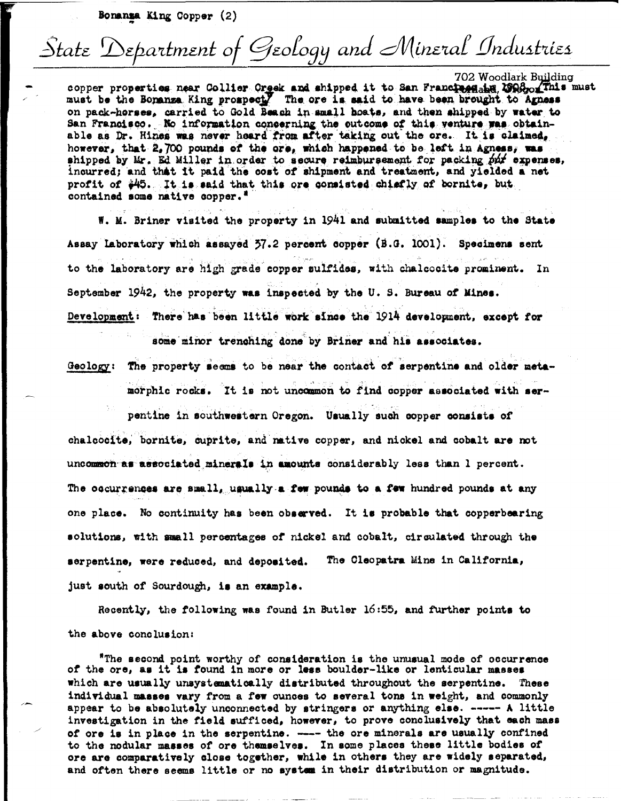Bonanza King Copper (2)

## State Department of Geology and Mineral Industries

702 Woodlark Building

copper properties near Collier Creek and shipped it to San Franciaegabe 2008 of This must must be the Bonanza King prospect. The ore is said to have been brought to Agness on pack-horses, carried to Gold Beach in small boats, and then shipped by water to San Francisco. No information concerning the outcome of this venture was obtainable as Dr. Hines was never heard from after taking out the ore. It is claimed, however, that 2,700 pounds of the ore, which happened to be left in Agness, was shipped by Mr. Ed Miller in order to secure reimbursement for packing put expenses, incurred; and that it paid the cost of shipment and treatment, and yielded a net profit of \$45. It is said that this ore consisted chiefly of bornite, but contained some native copper."

W. M. Briner visited the property in 1941 and submitted samples to the State Assay Laboratory which assayed 37.2 percent copper (B.G. 1001). Specimens sent to the laboratory are high grade copper sulfides, with chalcocite prominent. In September 1942, the property was inspected by the U.S. Bureau of Mines. Development: There has been little work since the 1914 development, except for

some minor trenching done by Briner and his associates.

Geology: The property seems to be near the contact of serpentine and older metamorphic rocks. It is not uncommon to find copper associated with ser-

pentine in southwestern Oregon. Usually such copper consists of chalcocite, bornite, cuprite, and mative copper, and nickel and cobalt are not uncommon as associated minerals in amounts considerably less than 1 percent. The occurrences are small, usually a few pounds to a few hundred pounds at any one place. No continuity has been observed. It is probable that copperbearing solutions, with small percentages of nickel and cobalt, circulated through the serpentine, were reduced, and deposited. The Cleopatra Mine in California, just south of Sourdough, is an example.

Recently, the following was found in Butler 16:55, and further points to the above conclusion:

"The second point worthy of consideration is the unusual mode of occurrence of the ore, as it is found in more or less boulder-like or lenticular masses which are usually unsystematically distributed throughout the serpentine. These individual masses vary from a few cunces to several tons in weight, and commonly appear to be absolutely unconnected by stringers or anything else. ----- A little investigation in the field sufficed, however, to prove conclusively that each mass of ore is in place in the serpentine. ---- the ore minerals are usually confined to the nodular masses of ore themselves. In some places these little bodies of ore are comparatively close together, while in others they are widely separated, and often there seems little or no system in their distribution or magnitude.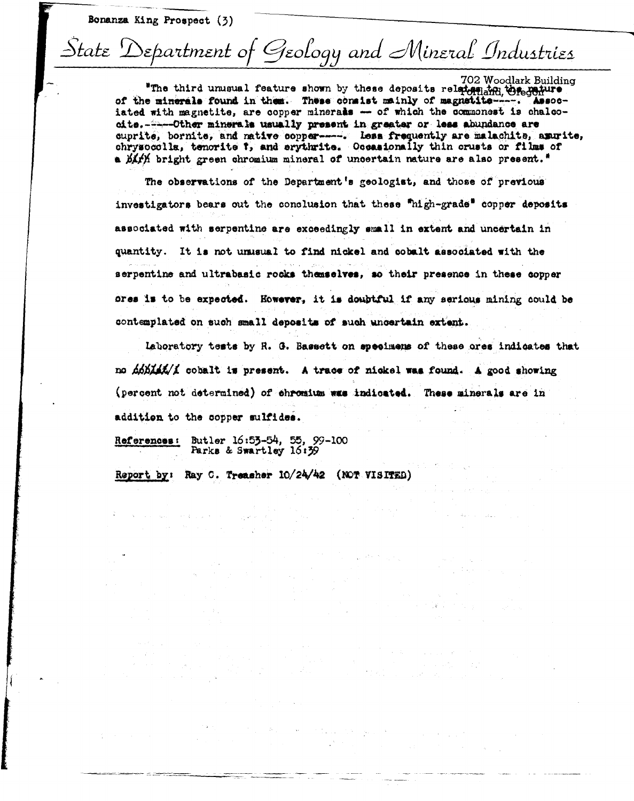Bonanza King Prospect (3)

## State Department of Geology and Mineral Industries

702 Woodlark Building "The third unusual feature shown by these deposits relatented to regenture of the minerals found in them. These consist mainly of magnetite----. Associated with magnetite, are copper minerals - of which the commonest is chalcooite. - - - Other minerals usually present in greater or less abundance are cuprite, bornite, and native copper-----. Less frequently are malachite, amurite, chrysocolla, tenorite 7, and erythrite. Occasionally thin crusts or films of a birith bright green chromium mineral of uncertain nature are also present."

The observations of the Department's geologist, and those of previous investigators bears out the conclusion that these "high-grade" copper deposits associated with serpentine are exceedingly small in extent and uncertain in quantity. It is not unusual to find nickel and cobalt associated with the serpentine and ultrabasic rocks themselves, so their presence in these copper ores is to be expected. However, it is doubtful if any serious mining could be contemplated on such small deposits of such uncertain extent.

Laboratory tests by R. G. Bassett on specimens of these ores indicates that no *A6BAAK/A* cobalt is present. A trace of nickel was found. A good showing (percent not determined) of chromium was indicated. These minerals are in addition to the copper sulfides.

 $\label{eq:2} \mathcal{L}=\frac{1}{2}\sum_{i=1}^n\sum_{j=1}^n\sum_{j=1}^n\sum_{j=1}^n\sum_{j=1}^n\sum_{j=1}^n\sum_{j=1}^n\sum_{j=1}^n\sum_{j=1}^n\sum_{j=1}^n\sum_{j=1}^n\sum_{j=1}^n\sum_{j=1}^n\sum_{j=1}^n\sum_{j=1}^n\sum_{j=1}^n\sum_{j=1}^n\sum_{j=1}^n\sum_{j=1}^n\sum_{j=1}^n\sum_{j=1}^n\sum_{j=1}^n\sum_{$ 

 $\label{eq:2} \mathcal{F}(\mathbb{E}[\omega],\omega) = \mathcal{F}(\mathcal{F}(\omega),\omega) = \mathcal{F}(\omega) = \mathcal{F}(\omega) = \mathcal{F}(\omega).$ 

References: Butler 16:53-54, 55, 99-100<br>Parks & Swartley 16:59

the American construction of the property of the

Report by: Ray C. Treasher 10/24/42 (NOT VISITED)

 $\mathcal{L}_{\rm{max}}$  , and  $\mathcal{L}_{\rm{max}}$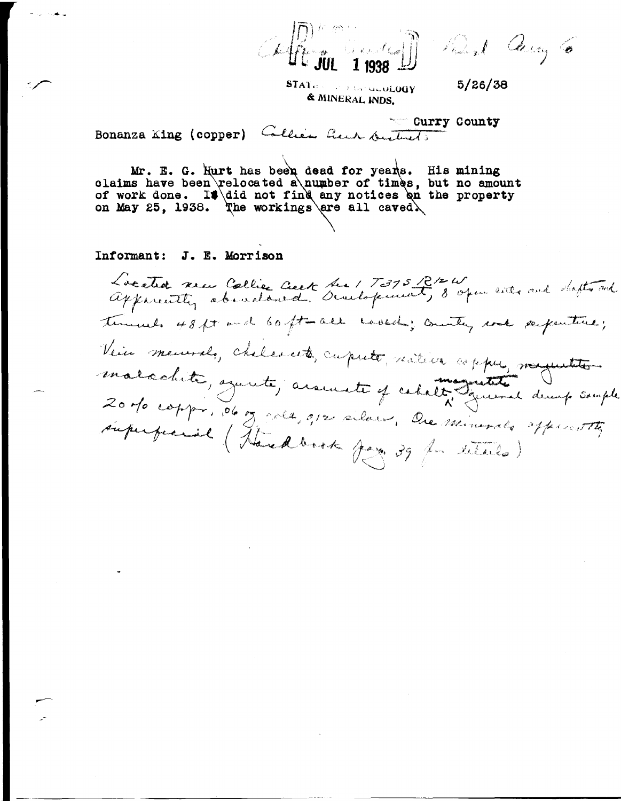Mingel Carry 6  $C4$ 

STATE of the Candidate of Candidate & MINERAL INDS.

 $5/26/38$ 

\*\*\*\* Curry County

Bonanza King (copper) Collier here suntants

Mr. E. G. Hurt has been dead for years. His mining<br>claims have been relocated a number of times, but no amount of work done. It did not find any notices on the property<br>on May 25, 1938. The workings are all caved.

Informant: J. E. Morrison

Located sea Collier Ceck Sea 1 7375 B/2 W and dafter and temmeds 48ft and 60ft-all could ; country rock surpenture; Vein meurale, chelescete, cuputé, mêtier espper, moyentes. malachite, squite, avenuete y cabalt grand deux souple 20 do coppo, 06 og gola, opr silver, Ore minerals apprentite superficient (Theredbook Jag 39 for situats)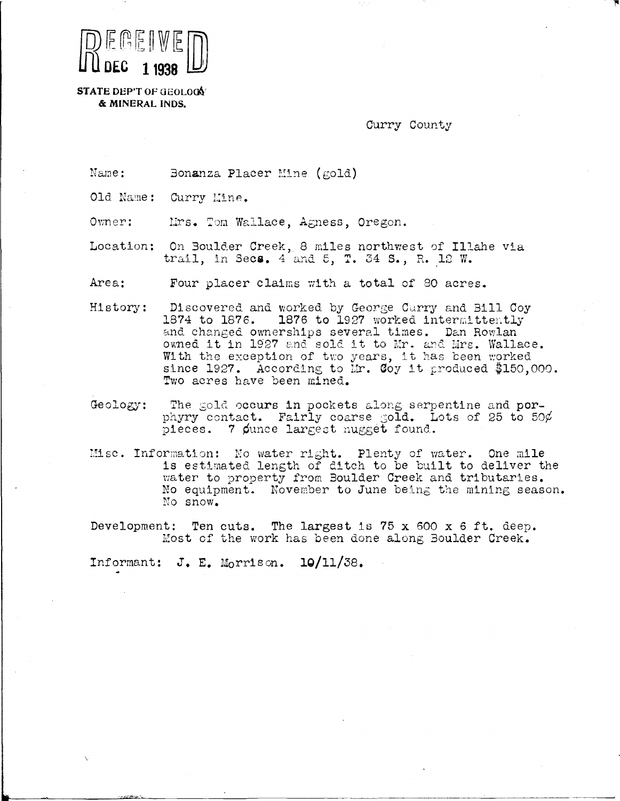

**STATE DEP'T OF GEOLOCY** & MINERAL INDS.

Curry County

Name: Bonanza Placer Mine ( $\gcd$ )

Old Name: Curry Mine.

Mrs. Tom Wallace, Agness, Oregon. Owner:

Location: On Boulder Creek, 8 miles northwest of Illahe via trail, in Secs. 4 and 5, T. 34 S., R. 12 W.

Area: Four placer claims with a total of 80 acres.

Discovered and worked by George Curry and Bill Coy History: 1874 to 1876. 1876 to 1927 worked intermittently and changed ownerships several times. Dan Rowlan owned it in 1927 and sold it to Mr. and Mrs. Wallace. With the exception of two years, it has been worked since 1927. According to Mr. Coy it produced \$150,000. Two acres have been mined.

Geology: The gold occurs in pockets along serpentine and porphyry contact. Fairly coarse gold. Lots of 25 to 50¢ pieces. 7 punce largest nugget found.

Misc. Information: No water right. Plenty of water. One mile is estimated length of ditch to be built to deliver the water to property from Boulder Creek and tributaries. No equipment. November to June being the mining season. No snow.

Development: Ten cuts. The largest is 75 x 600 x 6 ft. deep. Most of the work has been done along Boulder Creek.

Informant:  $J$ . E. Morrison.  $10/11/38$ .